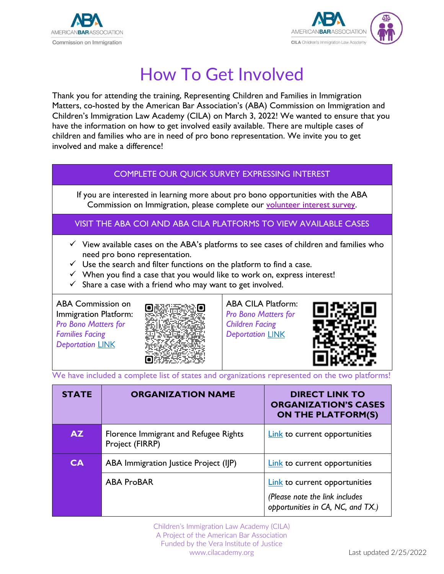



## How To Get Involved

Thank you for attending the training, Representing Children and Families in Immigration Matters, co-hosted by the American Bar Association's (ABA) Commission on Immigration and Children's Immigration Law Academy (CILA) on March 3, 2022! We wanted to ensure that you have the information on how to get involved easily available. There are multiple cases of children and families who are in need of pro bono representation. We invite you to get involved and make a difference!

| COMPLETE OUR QUICK SURVEY EXPRESSING INTEREST                                                                                                                                                                                                                                                                                                                                              |                                                                                                               |  |
|--------------------------------------------------------------------------------------------------------------------------------------------------------------------------------------------------------------------------------------------------------------------------------------------------------------------------------------------------------------------------------------------|---------------------------------------------------------------------------------------------------------------|--|
| If you are interested in learning more about pro bono opportunities with the ABA<br>Commission on Immigration, please complete our volunteer interest survey.                                                                                                                                                                                                                              |                                                                                                               |  |
| VISIT THE ABA COI AND ABA CILA PLATFORMS TO VIEW AVAILABLE CASES                                                                                                                                                                                                                                                                                                                           |                                                                                                               |  |
| $\checkmark$ View available cases on the ABA's platforms to see cases of children and families who<br>need pro bono representation.<br>$\checkmark$ Use the search and filter functions on the platform to find a case.<br>$\checkmark$ When you find a case that you would like to work on, express interest!<br>Share a case with a friend who may want to get involved.<br>$\checkmark$ |                                                                                                               |  |
| <b>ABA Commission on</b><br>Immigration Platform:<br>Pro Bono Matters for<br><b>Families Facing</b><br><b>Deportation LINK</b>                                                                                                                                                                                                                                                             | <b>ABA CILA Platform:</b><br><b>Pro Bono Matters for</b><br><b>Children Facing</b><br><b>Deportation LINK</b> |  |

We have included a complete list of states and organizations represented on the two platforms!

| <b>STATE</b> | <b>ORGANIZATION NAME</b>                                 | <b>DIRECT LINK TO</b><br><b>ORGANIZATION'S CASES</b><br><b>ON THE PLATFORM(S)</b>                    |
|--------------|----------------------------------------------------------|------------------------------------------------------------------------------------------------------|
| AZ.          | Florence Immigrant and Refugee Rights<br>Project (FIRRP) | Link to current opportunities                                                                        |
| <b>CA</b>    | ABA Immigration Justice Project (IJP)                    | <b>Link</b> to current opportunities                                                                 |
|              | <b>ABA ProBAR</b>                                        | Link to current opportunities<br>(Please note the link includes<br>opportunities in CA, NC, and TX.) |

Children's Immigration Law Academy (CILA) A Project of the American Bar Association Funded by the Vera Institute of Justice www.cilacademy.org Last updated 2/25/2022